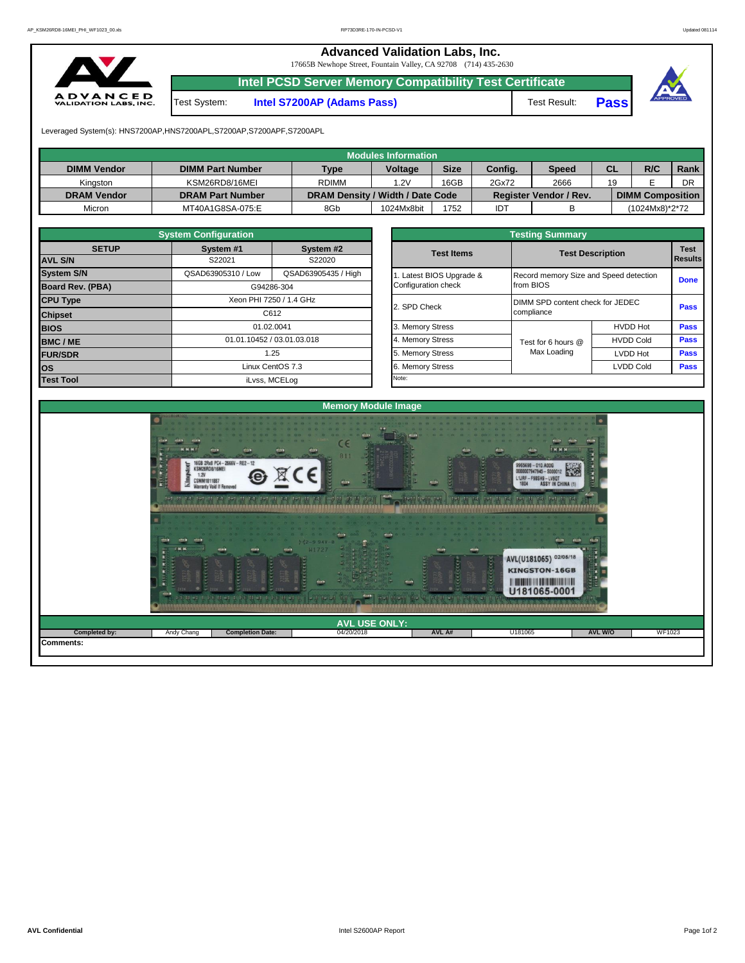**Advanced Validation Labs, Inc.** 

17665B Newhope Street, Fountain Valley, CA 92708 (714) 435-2630



**Intel PCSD Server Memory Compatibility Test Certificate**

Test System: **Intel S7200AP (Adams Pass)** Test Result: **Pass**





Leveraged System(s): HNS7200AP,HNS7200APL,S7200AP,S7200APF,S7200APL

|                    |                         |                                  | Modules Information |             |         |                               |           |                         |      |
|--------------------|-------------------------|----------------------------------|---------------------|-------------|---------|-------------------------------|-----------|-------------------------|------|
| <b>DIMM Vendor</b> | <b>DIMM Part Number</b> | <b>Type</b>                      | <b>Voltage</b>      | <b>Size</b> | Config. | <b>Speed</b>                  | <b>CL</b> | R/C                     | Rank |
| Kingston           | KSM26RD8/16MEI          | <b>RDIMM</b>                     | 1.2V                | 16GB        | 2Gx72   | 2666                          | 19        |                         | DR   |
| <b>DRAM Vendor</b> | <b>DRAM Part Number</b> | DRAM Density / Width / Date Code |                     |             |         | <b>Register Vendor / Rev.</b> |           | <b>DIMM Composition</b> |      |
| Micron             | MT40A1G8SA-075:E        | 8Gb                              | 1024Mx8bit          | 1752        | IDT     |                               |           | (1024Mx8)*2*72          |      |

|                         | <b>System Configuration</b> |                            |  | <b>Testing Summary</b> |                                  |                                        |             |  |  |  |  |  |
|-------------------------|-----------------------------|----------------------------|--|------------------------|----------------------------------|----------------------------------------|-------------|--|--|--|--|--|
| <b>SETUP</b>            | System #1<br>System #2      |                            |  | <b>Test Items</b>      |                                  | <b>Test Description</b>                |             |  |  |  |  |  |
| <b>AVL S/N</b>          | S22021<br>S22020            |                            |  |                        |                                  |                                        |             |  |  |  |  |  |
| <b>System S/N</b>       | QSAD63905310 / Low          | QSAD63905435 / High        |  | Latest BIOS Upgrade &  |                                  | Record memory Size and Speed detection |             |  |  |  |  |  |
| <b>Board Rev. (PBA)</b> |                             | G94286-304                 |  | Configuration check    | from BIOS                        |                                        |             |  |  |  |  |  |
| <b>CPU Type</b>         | Xeon PHI 7250 / 1.4 GHz     |                            |  | 2. SPD Check           | DIMM SPD content check for JEDEC |                                        |             |  |  |  |  |  |
| <b>Chipset</b>          |                             | C612                       |  |                        | compliance                       |                                        |             |  |  |  |  |  |
| <b>BIOS</b>             |                             | 01.02.0041                 |  | 3. Memory Stress       |                                  | <b>HVDD Hot</b>                        | Pass        |  |  |  |  |  |
| <b>BMC/ME</b>           |                             | 01.01.10452 / 03.01.03.018 |  | 4. Memory Stress       | Test for 6 hours @               | <b>HVDD Cold</b>                       | <b>Pass</b> |  |  |  |  |  |
| <b>FUR/SDR</b>          |                             | 1.25                       |  | 5. Memory Stress       | Max Loading                      | <b>LVDD Hot</b>                        | Pass        |  |  |  |  |  |
| los                     |                             | Linux CentOS 7.3           |  | 6. Memory Stress       |                                  | <b>LVDD Cold</b>                       | <b>Pass</b> |  |  |  |  |  |
| <b>Test Tool</b>        |                             | iLvss, MCELog              |  | Note:                  |                                  |                                        |             |  |  |  |  |  |

|              | <b>System Configuration</b> |                            | <b>Testing Summary</b> |                         |                                        |                               |  |  |  |  |  |  |  |
|--------------|-----------------------------|----------------------------|------------------------|-------------------------|----------------------------------------|-------------------------------|--|--|--|--|--|--|--|
| <b>SETUP</b> | System #1                   | System #2                  | <b>Test Items</b>      | <b>Test Description</b> |                                        | <b>Test</b><br><b>Results</b> |  |  |  |  |  |  |  |
|              | S22021                      | S22020                     |                        |                         |                                        |                               |  |  |  |  |  |  |  |
|              | QSAD63905310 / Low          | QSAD63905435 / High        | Latest BIOS Upgrade &  |                         | Record memory Size and Speed detection |                               |  |  |  |  |  |  |  |
| PBA)         |                             | G94286-304                 | Configuration check    | from BIOS               |                                        |                               |  |  |  |  |  |  |  |
|              |                             | Xeon PHI 7250 / 1.4 GHz    | 2. SPD Check           |                         | DIMM SPD content check for JEDEC       |                               |  |  |  |  |  |  |  |
|              |                             | C612                       |                        | compliance              |                                        | Pass                          |  |  |  |  |  |  |  |
|              |                             | 01.02.0041                 |                        |                         | <b>HVDD Hot</b>                        | Pass                          |  |  |  |  |  |  |  |
|              |                             | 01.01.10452 / 03.01.03.018 | 4. Memory Stress       | Test for 6 hours @      | <b>HVDD Cold</b>                       | Pass                          |  |  |  |  |  |  |  |
|              |                             | 1.25                       | 5. Memory Stress       | Max Loading             | LVDD Hot                               | Pass                          |  |  |  |  |  |  |  |
|              |                             | Linux CentOS 7.3           | 6. Memory Stress       |                         | <b>LVDD Cold</b>                       | Pass                          |  |  |  |  |  |  |  |
|              |                             | il vee $MCFL$ og           | Note:                  |                         |                                        |                               |  |  |  |  |  |  |  |